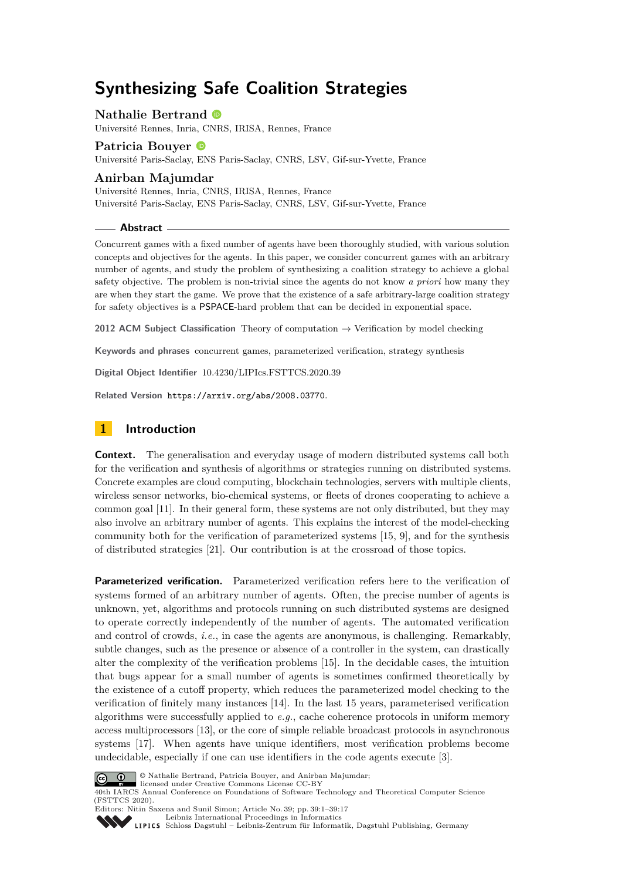# **Synthesizing Safe Coalition Strategies**

# **Nathalie Bertrand**

Université Rennes, Inria, CNRS, IRISA, Rennes, France

# **Patricia Bouyer** Université Paris-Saclay, ENS Paris-Saclay, CNRS, LSV, Gif-sur-Yvette, France

# **Anirban Majumdar**

Université Rennes, Inria, CNRS, IRISA, Rennes, France Université Paris-Saclay, ENS Paris-Saclay, CNRS, LSV, Gif-sur-Yvette, France

# **Abstract**

Concurrent games with a fixed number of agents have been thoroughly studied, with various solution concepts and objectives for the agents. In this paper, we consider concurrent games with an arbitrary number of agents, and study the problem of synthesizing a coalition strategy to achieve a global safety objective. The problem is non-trivial since the agents do not know *a priori* how many they are when they start the game. We prove that the existence of a safe arbitrary-large coalition strategy for safety objectives is a PSPACE-hard problem that can be decided in exponential space.

**2012 ACM Subject Classification** Theory of computation → Verification by model checking

**Keywords and phrases** concurrent games, parameterized verification, strategy synthesis

**Digital Object Identifier** [10.4230/LIPIcs.FSTTCS.2020.39](https://doi.org/10.4230/LIPIcs.FSTTCS.2020.39)

**Related Version** <https://arxiv.org/abs/2008.03770>.

# **1 Introduction**

**Context.** The generalisation and everyday usage of modern distributed systems call both for the verification and synthesis of algorithms or strategies running on distributed systems. Concrete examples are cloud computing, blockchain technologies, servers with multiple clients, wireless sensor networks, bio-chemical systems, or fleets of drones cooperating to achieve a common goal [\[11\]](#page-15-0). In their general form, these systems are not only distributed, but they may also involve an arbitrary number of agents. This explains the interest of the model-checking community both for the verification of parameterized systems [\[15,](#page-15-1) [9\]](#page-15-2), and for the synthesis of distributed strategies [\[21\]](#page-16-0). Our contribution is at the crossroad of those topics.

**Parameterized verification.** Parameterized verification refers here to the verification of systems formed of an arbitrary number of agents. Often, the precise number of agents is unknown, yet, algorithms and protocols running on such distributed systems are designed to operate correctly independently of the number of agents. The automated verification and control of crowds, *i.e.*, in case the agents are anonymous, is challenging. Remarkably, subtle changes, such as the presence or absence of a controller in the system, can drastically alter the complexity of the verification problems [\[15\]](#page-15-1). In the decidable cases, the intuition that bugs appear for a small number of agents is sometimes confirmed theoretically by the existence of a cutoff property, which reduces the parameterized model checking to the verification of finitely many instances [\[14\]](#page-15-3). In the last 15 years, parameterised verification algorithms were successfully applied to *e.g.*, cache coherence protocols in uniform memory access multiprocessors [\[13\]](#page-15-4), or the core of simple reliable broadcast protocols in asynchronous systems [\[17\]](#page-16-1). When agents have unique identifiers, most verification problems become undecidable, especially if one can use identifiers in the code agents execute [\[3\]](#page-15-5).



© Nathalie Bertrand, Patricia Bouyer, and Anirban Majumdar;

licensed under Creative Commons License CC-BY 40th IARCS Annual Conference on Foundations of Software Technology and Theoretical Computer Science (FSTTCS 2020).

Editors: Nitin Saxena and Sunil Simon; Article No. 39; pp. 39:1–39[:17](#page-16-2) [Leibniz International Proceedings in Informatics](https://www.dagstuhl.de/lipics/)

[Schloss Dagstuhl – Leibniz-Zentrum für Informatik, Dagstuhl Publishing, Germany](https://www.dagstuhl.de)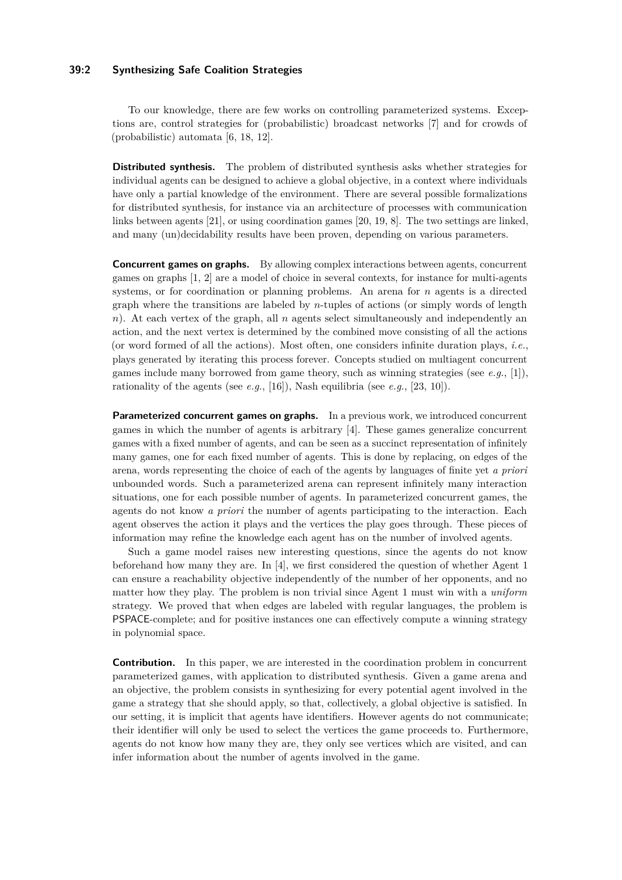# **39:2 Synthesizing Safe Coalition Strategies**

To our knowledge, there are few works on controlling parameterized systems. Exceptions are, control strategies for (probabilistic) broadcast networks [\[7\]](#page-15-6) and for crowds of (probabilistic) automata [\[6,](#page-15-7) [18,](#page-16-3) [12\]](#page-15-8).

**Distributed synthesis.** The problem of distributed synthesis asks whether strategies for individual agents can be designed to achieve a global objective, in a context where individuals have only a partial knowledge of the environment. There are several possible formalizations for distributed synthesis, for instance via an architecture of processes with communication links between agents [\[21\]](#page-16-0), or using coordination games [\[20,](#page-16-4) [19,](#page-16-5) [8\]](#page-15-9). The two settings are linked, and many (un)decidability results have been proven, depending on various parameters.

**Concurrent games on graphs.** By allowing complex interactions between agents, concurrent games on graphs [\[1,](#page-14-0) [2\]](#page-15-10) are a model of choice in several contexts, for instance for multi-agents systems, or for coordination or planning problems. An arena for *n* agents is a directed graph where the transitions are labeled by *n*-tuples of actions (or simply words of length *n*). At each vertex of the graph, all *n* agents select simultaneously and independently an action, and the next vertex is determined by the combined move consisting of all the actions (or word formed of all the actions). Most often, one considers infinite duration plays, *i.e.*, plays generated by iterating this process forever. Concepts studied on multiagent concurrent games include many borrowed from game theory, such as winning strategies (see *e.g.*, [\[1\]](#page-14-0)), rationality of the agents (see *e.g.*, [\[16\]](#page-15-11)), Nash equilibria (see *e.g.*, [\[23,](#page-16-6) [10\]](#page-15-12)).

**Parameterized concurrent games on graphs.** In a previous work, we introduced concurrent games in which the number of agents is arbitrary [\[4\]](#page-15-13). These games generalize concurrent games with a fixed number of agents, and can be seen as a succinct representation of infinitely many games, one for each fixed number of agents. This is done by replacing, on edges of the arena, words representing the choice of each of the agents by languages of finite yet *a priori* unbounded words. Such a parameterized arena can represent infinitely many interaction situations, one for each possible number of agents. In parameterized concurrent games, the agents do not know *a priori* the number of agents participating to the interaction. Each agent observes the action it plays and the vertices the play goes through. These pieces of information may refine the knowledge each agent has on the number of involved agents.

Such a game model raises new interesting questions, since the agents do not know beforehand how many they are. In [\[4\]](#page-15-13), we first considered the question of whether Agent 1 can ensure a reachability objective independently of the number of her opponents, and no matter how they play. The problem is non trivial since Agent 1 must win with a *uniform* strategy. We proved that when edges are labeled with regular languages, the problem is PSPACE-complete; and for positive instances one can effectively compute a winning strategy in polynomial space.

**Contribution.** In this paper, we are interested in the coordination problem in concurrent parameterized games, with application to distributed synthesis. Given a game arena and an objective, the problem consists in synthesizing for every potential agent involved in the game a strategy that she should apply, so that, collectively, a global objective is satisfied. In our setting, it is implicit that agents have identifiers. However agents do not communicate; their identifier will only be used to select the vertices the game proceeds to. Furthermore, agents do not know how many they are, they only see vertices which are visited, and can infer information about the number of agents involved in the game.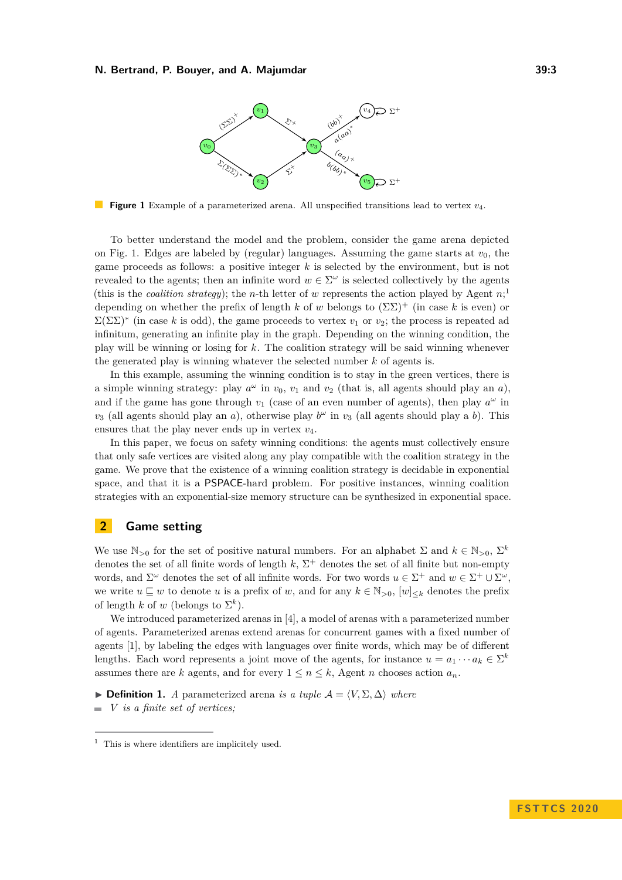<span id="page-2-0"></span>

**Figure 1** Example of a parameterized arena. All unspecified transitions lead to vertex *v*4.

To better understand the model and the problem, consider the game arena depicted on Fig. [1.](#page-2-0) Edges are labeled by (regular) languages. Assuming the game starts at  $v_0$ , the game proceeds as follows: a positive integer *k* is selected by the environment, but is not revealed to the agents; then an infinite word  $w \in \Sigma^{\omega}$  is selected collectively by the agents (this is the *coalition strategy*); the *n*-th letter of *w* represents the action played by Agent  $n$ <sup>[1](#page-2-1)</sup>; depending on whether the prefix of length k of w belongs to  $(\Sigma\Sigma)^+$  (in case k is even) or  $\Sigma(\Sigma\Sigma)^*$  (in case k is odd), the game proceeds to vertex  $v_1$  or  $v_2$ ; the process is repeated ad infinitum, generating an infinite play in the graph. Depending on the winning condition, the play will be winning or losing for *k*. The coalition strategy will be said winning whenever the generated play is winning whatever the selected number *k* of agents is.

In this example, assuming the winning condition is to stay in the green vertices, there is a simple winning strategy: play  $a^{\omega}$  in  $v_0$ ,  $v_1$  and  $v_2$  (that is, all agents should play an *a*), and if the game has gone through  $v_1$  (case of an even number of agents), then play  $a^{\omega}$  in *v*<sub>3</sub> (all agents should play an *a*), otherwise play  $b^{\omega}$  in *v*<sub>3</sub> (all agents should play a *b*). This ensures that the play never ends up in vertex  $v_4$ .

In this paper, we focus on safety winning conditions: the agents must collectively ensure that only safe vertices are visited along any play compatible with the coalition strategy in the game. We prove that the existence of a winning coalition strategy is decidable in exponential space, and that it is a PSPACE-hard problem. For positive instances, winning coalition strategies with an exponential-size memory structure can be synthesized in exponential space.

# **2 Game setting**

We use  $\mathbb{N}_{>0}$  for the set of positive natural numbers. For an alphabet  $\Sigma$  and  $k \in \mathbb{N}_{>0}$ ,  $\Sigma^k$ denotes the set of all finite words of length  $k$ ,  $\Sigma^+$  denotes the set of all finite but non-empty words, and  $\Sigma^{\omega}$  denotes the set of all infinite words. For two words  $u \in \Sigma^{+}$  and  $w \in \Sigma^{+} \cup \Sigma^{\omega}$ , we write  $u \sqsubseteq w$  to denote *u* is a prefix of *w*, and for any  $k \in \mathbb{N}_{>0}$ ,  $[w]_{\leq k}$  denotes the prefix of length *k* of *w* (belongs to  $\Sigma^k$ ).

We introduced parameterized arenas in [\[4\]](#page-15-13), a model of arenas with a parameterized number of agents. Parameterized arenas extend arenas for concurrent games with a fixed number of agents [\[1\]](#page-14-0), by labeling the edges with languages over finite words, which may be of different lengths. Each word represents a joint move of the agents, for instance  $u = a_1 \cdots a_k \in \Sigma^k$ assumes there are *k* agents, and for every  $1 \leq n \leq k$ , Agent *n* chooses action  $a_n$ .

**► Definition 1.** *A* parameterized arena *is a tuple*  $\mathcal{A} = \langle V, \Sigma, \Delta \rangle$  *where* 

*V is a finite set of vertices;*  $\sim$ 

<span id="page-2-1"></span> $<sup>1</sup>$  This is where identifiers are implicitely used.</sup>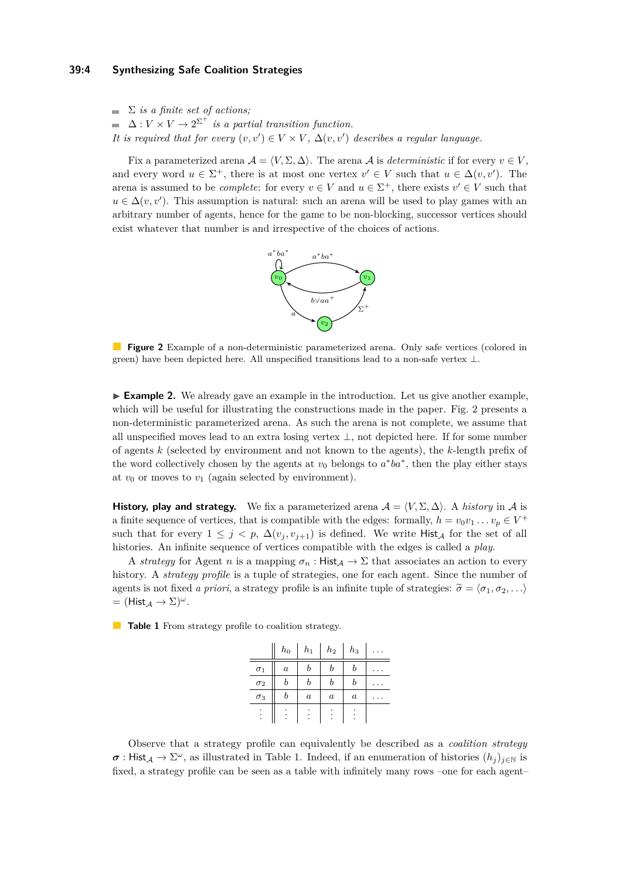# **39:4 Synthesizing Safe Coalition Strategies**

 $\sum$  *is a finite set of actions:*  $\Delta: V \times V \to 2^{\Sigma^+}$  is a partial transition function. *It is required that for every*  $(v, v') \in V \times V$ ,  $\Delta(v, v')$  *describes a regular language.* 

<span id="page-3-0"></span>Fix a parameterized arena  $A = \langle V, \Sigma, \Delta \rangle$ . The arena A is *deterministic* if for every  $v \in V$ , and every word  $u \in \Sigma^+$ , there is at most one vertex  $v' \in V$  such that  $u \in \Delta(v, v')$ . The arena is assumed to be *complete*: for every  $v \in V$  and  $u \in \Sigma^{+}$ , there exists  $v' \in V$  such that  $u \in \Delta(v, v')$ . This assumption is natural: such an arena will be used to play games with an arbitrary number of agents, hence for the game to be non-blocking, successor vertices should exist whatever that number is and irrespective of the choices of actions.



**Figure 2** Example of a non-deterministic parameterized arena. Only safe vertices (colored in green) have been depicted here. All unspecified transitions lead to a non-safe vertex  $\perp$ .

► **Example 2.** We already gave an example in the introduction. Let us give another example, which will be useful for illustrating the constructions made in the paper. Fig. [2](#page-3-0) presents a non-deterministic parameterized arena. As such the arena is not complete, we assume that all unspecified moves lead to an extra losing vertex  $\perp$ , not depicted here. If for some number of agents *k* (selected by environment and not known to the agents), the *k*-length prefix of the word collectively chosen by the agents at  $v_0$  belongs to  $a^*ba^*$ , then the play either stays at  $v_0$  or moves to  $v_1$  (again selected by environment).

**History, play and strategy.** We fix a parameterized arena  $A = \langle V, \Sigma, \Delta \rangle$ . A *history* in A is a finite sequence of vertices, that is compatible with the edges: formally,  $h = v_0v_1 \dots v_p \in V^+$ such that for every  $1 \leq j \leq p$ ,  $\Delta(v_j, v_{j+1})$  is defined. We write Hist<sub>A</sub> for the set of all histories. An infinite sequence of vertices compatible with the edges is called a *play*.

A *strategy* for Agent *n* is a mapping  $\sigma_n$ : Hist<sub>A</sub>  $\rightarrow \Sigma$  that associates an action to every history. A *strategy profile* is a tuple of strategies, one for each agent. Since the number of agents is not fixed *a priori*, a strategy profile is an infinite tuple of strategies:  $\tilde{\sigma} = \langle \sigma_1, \sigma_2, \ldots \rangle$  $=$  (Hist  $_A \rightarrow \Sigma^{\omega}$ ).

<span id="page-3-1"></span>**Table 1** From strategy profile to coalition strategy.

|            | $_{h_0}$         | $h_1$            | $h_2$            | $_{h_3}$         |  |
|------------|------------------|------------------|------------------|------------------|--|
| $\sigma_1$ | $\boldsymbol{a}$ | b                | b                | b                |  |
| $\sigma_2$ | b                | b                | b                | b                |  |
| $\sigma_3$ |                  | $\boldsymbol{a}$ | $\boldsymbol{a}$ | $\boldsymbol{a}$ |  |
|            |                  |                  |                  |                  |  |

Observe that a strategy profile can equivalently be described as a *coalition strategy*  $\sigma$ : Hist<sub>A</sub>  $\rightarrow \Sigma^{\omega}$ , as illustrated in Table [1.](#page-3-1) Indeed, if an enumeration of histories  $(h_j)_{j\in\mathbb{N}}$  is fixed, a strategy profile can be seen as a table with infinitely many rows –one for each agent–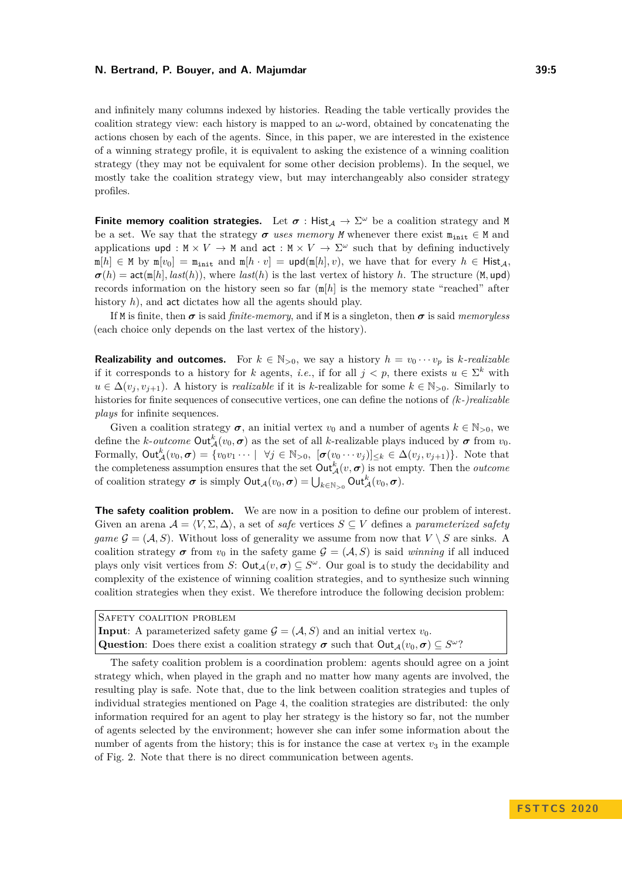and infinitely many columns indexed by histories. Reading the table vertically provides the coalition strategy view: each history is mapped to an  $\omega$ -word, obtained by concatenating the actions chosen by each of the agents. Since, in this paper, we are interested in the existence of a winning strategy profile, it is equivalent to asking the existence of a winning coalition strategy (they may not be equivalent for some other decision problems). In the sequel, we mostly take the coalition strategy view, but may interchangeably also consider strategy profiles.

**Finite memory coalition strategies.** Let  $\sigma$  : Hist<sub>A</sub>  $\rightarrow \Sigma^{\omega}$  be a coalition strategy and M be a set. We say that the strategy  $\sigma$  uses memory *M* whenever there exist  $m_{\text{init}} \in M$  and applications upd :  $M \times V \to M$  and act :  $M \times V \to \Sigma^{\omega}$  such that by defining inductively  $m[h] \in M$  by  $m[v_0] = m_{\text{init}}$  and  $m[h \cdot v] = \text{upd}(m[h], v)$ , we have that for every  $h \in H_{\text{list},A}$ ,  $\sigma(h) = \text{act}(\text{m}[h], \text{last}(h)),$  where  $\text{last}(h)$  is the last vertex of history *h*. The structure (M, upd) records information on the history seen so far (m[*h*] is the memory state "reached" after history *h*), and act dictates how all the agents should play.

If M is finite, then  $\sigma$  is said *finite-memory*, and if M is a singleton, then  $\sigma$  is said *memoryless* (each choice only depends on the last vertex of the history).

**Realizability and outcomes.** For  $k \in \mathbb{N}_{>0}$ , we say a history  $h = v_0 \cdots v_p$  is *k*-realizable if it corresponds to a history for *k* agents, *i.e.*, if for all  $j < p$ , there exists  $u \in \Sigma^k$  with *u* ∈  $\Delta(v_i, v_{i+1})$ . A history is *realizable* if it is *k*-realizable for some  $k \in \mathbb{N}_{>0}$ . Similarly to histories for finite sequences of consecutive vertices, one can define the notions of *(k-)realizable plays* for infinite sequences.

Given a coalition strategy  $\sigma$ , an initial vertex  $v_0$  and a number of agents  $k \in \mathbb{N}_{>0}$ , we define the *k*-*outcome*  $Out_A^k(v_0, \sigma)$  as the set of all *k*-realizable plays induced by  $\sigma$  from  $v_0$ . Formally,  $\text{Out}_{\mathcal{A}}^k(v_0, \sigma) = \{v_0v_1 \cdots \mid \forall j \in \mathbb{N}_{>0}, \ [\sigma(v_0 \cdots v_j)]_{\leq k} \in \Delta(v_j, v_{j+1})\}.$  Note that the completeness assumption ensures that the set  $\text{Out}^k_{\mathcal{A}}(v, \sigma)$  is not empty. Then the *outcome* of coalition strategy  $\sigma$  is simply  $\textsf{Out}_{\mathcal{A}}(v_0, \sigma) = \bigcup_{k \in \mathbb{N}_{>0}} \textsf{Out}_{\mathcal{A}}^k(v_0, \sigma)$ .

**The safety coalition problem.** We are now in a position to define our problem of interest. Given an arena  $\mathcal{A} = \langle V, \Sigma, \Delta \rangle$ , a set of *safe* vertices  $S \subseteq V$  defines a *parameterized safety game*  $\mathcal{G} = (\mathcal{A}, S)$ . Without loss of generality we assume from now that  $V \setminus S$  are sinks. A coalition strategy  $\sigma$  from  $v_0$  in the safety game  $\mathcal{G} = (\mathcal{A}, S)$  is said *winning* if all induced plays only visit vertices from *S*:  $Out_{\mathcal{A}}(v, \sigma) \subseteq S^{\omega}$ . Our goal is to study the decidability and complexity of the existence of winning coalition strategies, and to synthesize such winning coalition strategies when they exist. We therefore introduce the following decision problem:

| SAFETY COALITION PROBLEM                                                                                              |
|-----------------------------------------------------------------------------------------------------------------------|
| <b>Input:</b> A parameterized safety game $\mathcal{G} = (\mathcal{A}, S)$ and an initial vertex $v_0$ .              |
| <b>Question:</b> Does there exist a coalition strategy $\sigma$ such that $Out_A(v_0, \sigma) \subseteq S^{\omega}$ ? |

The safety coalition problem is a coordination problem: agents should agree on a joint strategy which, when played in the graph and no matter how many agents are involved, the resulting play is safe. Note that, due to the link between coalition strategies and tuples of individual strategies mentioned on Page [4,](#page-3-1) the coalition strategies are distributed: the only information required for an agent to play her strategy is the history so far, not the number of agents selected by the environment; however she can infer some information about the number of agents from the history; this is for instance the case at vertex  $v_3$  in the example of Fig. [2.](#page-3-0) Note that there is no direct communication between agents.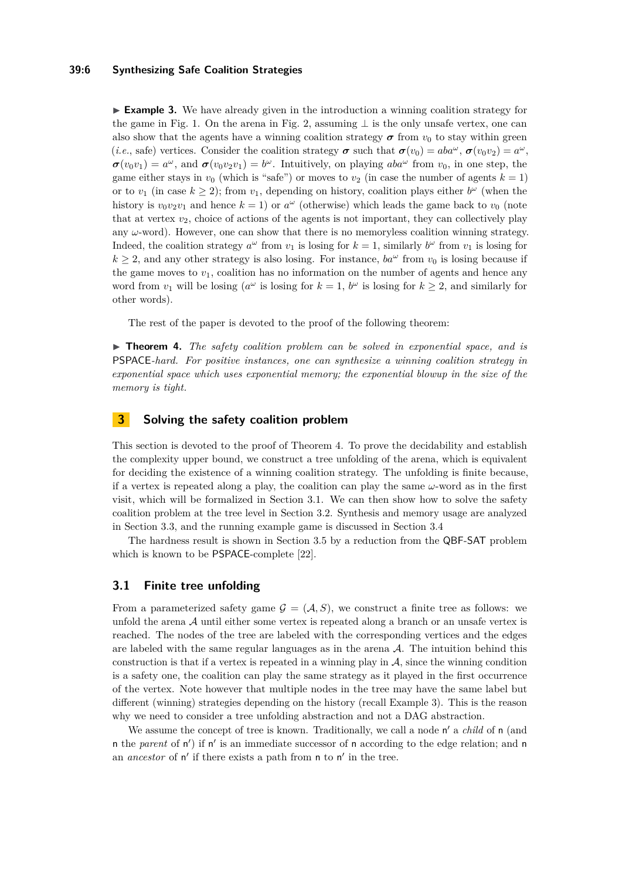## **39:6 Synthesizing Safe Coalition Strategies**

<span id="page-5-2"></span>**Example 3.** We have already given in the introduction a winning coalition strategy for the game in Fig. [1.](#page-2-0) On the arena in Fig. [2,](#page-3-0) assuming  $\perp$  is the only unsafe vertex, one can also show that the agents have a winning coalition strategy  $\sigma$  from  $v_0$  to stay within green (*i.e.*, safe) vertices. Consider the coalition strategy  $\sigma$  such that  $\sigma(v_0) = aba^{\omega}$ ,  $\sigma(v_0v_2) = a^{\omega}$ ,  $\sigma(v_0v_1) = a^{\omega}$ , and  $\sigma(v_0v_2v_1) = b^{\omega}$ . Intuitively, on playing  $aba^{\omega}$  from  $v_0$ , in one step, the game either stays in  $v_0$  (which is "safe") or moves to  $v_2$  (in case the number of agents  $k = 1$ ) or to  $v_1$  (in case  $k \geq 2$ ); from  $v_1$ , depending on history, coalition plays either  $b^{\omega}$  (when the history is  $v_0v_2v_1$  and hence  $k = 1$ ) or  $a^{\omega}$  (otherwise) which leads the game back to  $v_0$  (note that at vertex  $v_2$ , choice of actions of the agents is not important, they can collectively play any *ω*-word). However, one can show that there is no memoryless coalition winning strategy. Indeed, the coalition strategy  $a^{\omega}$  from  $v_1$  is losing for  $k = 1$ , similarly  $b^{\omega}$  from  $v_1$  is losing for  $k \geq 2$ , and any other strategy is also losing. For instance,  $ba^{\omega}$  from  $v_0$  is losing because if the game moves to  $v_1$ , coalition has no information on the number of agents and hence any word from  $v_1$  will be losing ( $a^{\omega}$  is losing for  $k = 1$ ,  $b^{\omega}$  is losing for  $k \ge 2$ , and similarly for other words).

The rest of the paper is devoted to the proof of the following theorem:

<span id="page-5-0"></span>▶ **Theorem 4.** *The safety coalition problem can be solved in exponential space, and is* PSPACE*-hard. For positive instances, one can synthesize a winning coalition strategy in exponential space which uses exponential memory; the exponential blowup in the size of the memory is tight.*

# **3 Solving the safety coalition problem**

This section is devoted to the proof of Theorem [4.](#page-5-0) To prove the decidability and establish the complexity upper bound, we construct a tree unfolding of the arena, which is equivalent for deciding the existence of a winning coalition strategy. The unfolding is finite because, if a vertex is repeated along a play, the coalition can play the same *ω*-word as in the first visit, which will be formalized in Section [3.1.](#page-5-1) We can then show how to solve the safety coalition problem at the tree level in Section [3.2.](#page-8-0) Synthesis and memory usage are analyzed in Section [3.3,](#page-10-0) and the running example game is discussed in Section [3.4](#page-11-0)

The hardness result is shown in Section [3.5](#page-12-0) by a reduction from the QBF-SAT problem which is known to be PSPACE-complete [\[22\]](#page-16-7).

# <span id="page-5-1"></span>**3.1 Finite tree unfolding**

From a parameterized safety game  $\mathcal{G} = (\mathcal{A}, S)$ , we construct a finite tree as follows: we unfold the arena  $A$  until either some vertex is repeated along a branch or an unsafe vertex is reached. The nodes of the tree are labeled with the corresponding vertices and the edges are labeled with the same regular languages as in the arena  $A$ . The intuition behind this construction is that if a vertex is repeated in a winning play in  $A$ , since the winning condition is a safety one, the coalition can play the same strategy as it played in the first occurrence of the vertex. Note however that multiple nodes in the tree may have the same label but different (winning) strategies depending on the history (recall Example [3\)](#page-5-2). This is the reason why we need to consider a tree unfolding abstraction and not a DAG abstraction.

We assume the concept of tree is known. Traditionally, we call a node n' a *child* of n (and n the *parent* of n') if n' is an immediate successor of n according to the edge relation; and n an *ancestor* of n' if there exists a path from n to n' in the tree.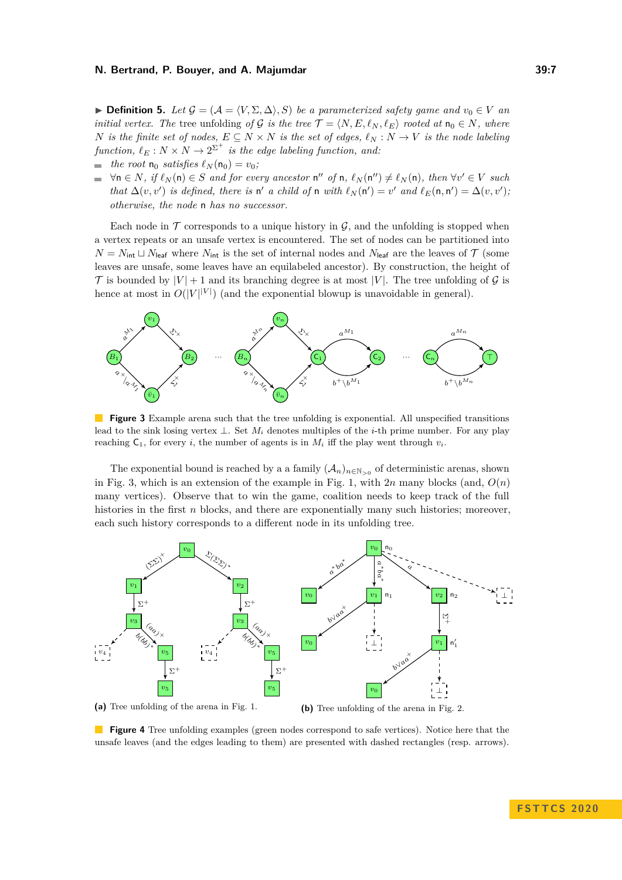**► Definition 5.** Let  $\mathcal{G} = (\mathcal{A} = \langle V, \Sigma, \Delta \rangle, S)$  be a parameterized safety game and  $v_0 \in V$  and *initial vertex. The* tree unfolding *of* G *is the tree*  $\mathcal{T} = \langle N, E, \ell_N, \ell_E \rangle$  *rooted at*  $n_0 \in N$ *, where N is the finite set of nodes,*  $E \subseteq N \times N$  *is the set of edges,*  $\ell_N : N \to V$  *is the node labeling*  $function, \ell_E : N \times N \rightarrow 2^{\Sigma^+}$  *is the edge labeling function, and:* 

 $\blacksquare$  *the root*  $\mathsf{n}_0$  *satisfies*  $\ell_N(\mathsf{n}_0) = v_0$ ;

 $\forall n \in N$ , if  $\ell_N(n) \in S$  and for every ancestor  $n''$  of  $n$ ,  $\ell_N(n'') \neq \ell_N(n)$ , then  $\forall v' \in V$  such  $\sim$ *that*  $\Delta(v, v')$  *is defined, there is*  $n'$  *a child of*  $n$  *with*  $\ell_N(n') = v'$  *and*  $\ell_E(n, n') = \Delta(v, v')$ *; otherwise, the node* n *has no successor.*

Each node in  $\mathcal T$  corresponds to a unique history in  $\mathcal G$ , and the unfolding is stopped when a vertex repeats or an unsafe vertex is encountered. The set of nodes can be partitioned into  $N = N_{\text{int}} \sqcup N_{\text{leaf}}$  where  $N_{\text{int}}$  is the set of internal nodes and  $N_{\text{leaf}}$  are the leaves of  $\mathcal T$  (some leaves are unsafe, some leaves have an equilabeled ancestor). By construction, the height of  $\mathcal T$  is bounded by  $|V| + 1$  and its branching degree is at most  $|V|$ . The tree unfolding of  $\mathcal G$  is hence at most in  $O(|V|^{|V|})$  (and the exponential blowup is unavoidable in general).

<span id="page-6-0"></span>

**Figure 3** Example arena such that the tree unfolding is exponential. All unspecified transitions lead to the sink losing vertex ⊥. Set *M<sup>i</sup>* denotes multiples of the *i*-th prime number. For any play reaching  $C_1$ , for every *i*, the number of agents is in  $M_i$  iff the play went through  $v_i$ .

The exponential bound is reached by a a family  $(A_n)_{n \in \mathbb{N}_{>0}}$  of deterministic arenas, shown in Fig. [3,](#page-6-0) which is an extension of the example in Fig. [1,](#page-2-0) with  $2n$  many blocks (and,  $O(n)$ ) many vertices). Observe that to win the game, coalition needs to keep track of the full histories in the first *n* blocks, and there are exponentially many such histories; moreover, each such history corresponds to a different node in its unfolding tree.

<span id="page-6-1"></span>

**Figure 4** Tree unfolding examples (green nodes correspond to safe vertices). Notice here that the unsafe leaves (and the edges leading to them) are presented with dashed rectangles (resp. arrows).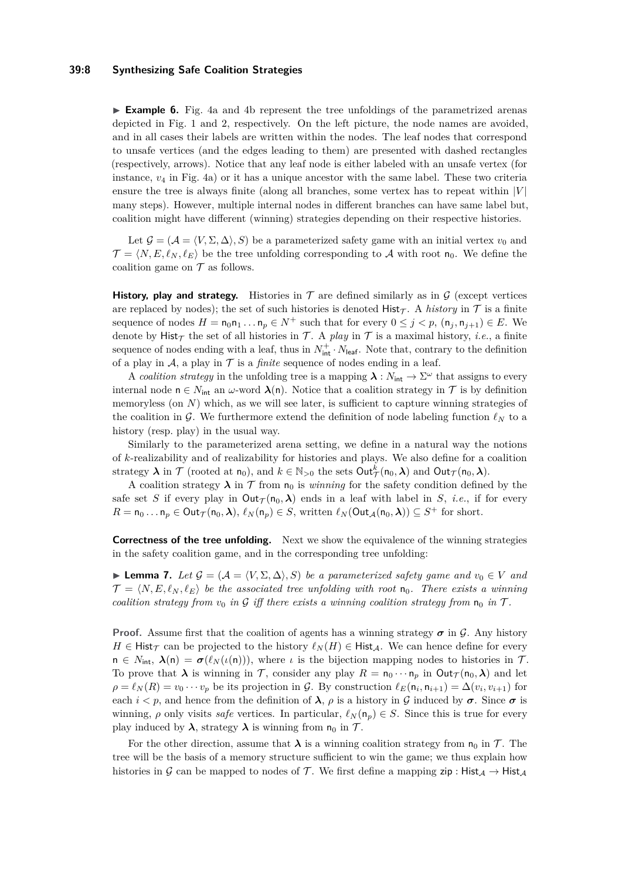#### **39:8 Synthesizing Safe Coalition Strategies**

► **Example 6.** Fig. [4a](#page-6-1) and [4b](#page-6-1) represent the tree unfoldings of the parametrized arenas depicted in Fig. [1](#page-2-0) and [2,](#page-3-0) respectively. On the left picture, the node names are avoided, and in all cases their labels are written within the nodes. The leaf nodes that correspond to unsafe vertices (and the edges leading to them) are presented with dashed rectangles (respectively, arrows). Notice that any leaf node is either labeled with an unsafe vertex (for instance, *v*<sup>4</sup> in Fig. [4a\)](#page-6-1) or it has a unique ancestor with the same label. These two criteria ensure the tree is always finite (along all branches, some vertex has to repeat within |*V* | many steps). However, multiple internal nodes in different branches can have same label but, coalition might have different (winning) strategies depending on their respective histories.

Let  $\mathcal{G} = (\mathcal{A} = \langle V, \Sigma, \Delta \rangle, S)$  be a parameterized safety game with an initial vertex  $v_0$  and  $\mathcal{T} = \langle N, E, \ell_N, \ell_E \rangle$  be the tree unfolding corresponding to A with root n<sub>0</sub>. We define the coalition game on  $\mathcal T$  as follows.

**History, play and strategy.** Histories in  $\mathcal T$  are defined similarly as in  $\mathcal G$  (except vertices are replaced by nodes); the set of such histories is denoted  $Histr_{\tau}$ . A *history* in  $\tau$  is a finite sequence of nodes  $H = n_0 n_1 \dots n_p \in N^+$  such that for every  $0 \leq j \leq p$ ,  $(n_j, n_{j+1}) \in E$ . We denote by Hist<sub> $\tau$ </sub> the set of all histories in  $\tau$ . A *play* in  $\tau$  is a maximal history, *i.e.*, a finite sequence of nodes ending with a leaf, thus in  $N_{\text{int}}^+ \cdot N_{\text{leaf}}$ . Note that, contrary to the definition of a play in  $\mathcal A$ , a play in  $\mathcal T$  is a *finite* sequence of nodes ending in a leaf.

A *coalition strategy* in the unfolding tree is a mapping  $\lambda : N_{\text{int}} \to \Sigma^{\omega}$  that assigns to every internal node  $n \in N_{\text{int}}$  an *ω*-word  $\lambda(n)$ . Notice that a coalition strategy in T is by definition memoryless (on *N*) which, as we will see later, is sufficient to capture winning strategies of the coalition in G. We furthermore extend the definition of node labeling function  $\ell_N$  to a history (resp. play) in the usual way.

Similarly to the parameterized arena setting, we define in a natural way the notions of *k*-realizability and of realizability for histories and plays. We also define for a coalition strategy  $\lambda$  in  $\mathcal{T}$  (rooted at  $n_0$ ), and  $k \in \mathbb{N}_{>0}$  the sets  $Out_{\mathcal{T}}^k(n_0, \lambda)$  and  $Out_{\mathcal{T}}(n_0, \lambda)$ .

A coalition strategy  $\lambda$  in  $\mathcal T$  from  $n_0$  is *winning* for the safety condition defined by the safe set *S* if every play in  $Out_\mathcal{T}(n_0, \lambda)$  ends in a leaf with label in *S*, *i.e.*, if for every  $R = n_0 \dots n_p \in \text{Out}_{\mathcal{T}}(n_0, \lambda), \, \ell_N(n_p) \in S$ , written  $\ell_N(\text{Out}_{\mathcal{A}}(n_0, \lambda)) \subseteq S^+$  for short.

**Correctness of the tree unfolding.** Next we show the equivalence of the winning strategies in the safety coalition game, and in the corresponding tree unfolding:

<span id="page-7-0"></span>► **Lemma 7.** Let  $\mathcal{G} = (\mathcal{A} = \langle V, \Sigma, \Delta \rangle, S)$  be a parameterized safety game and  $v_0 \in V$  and  $\mathcal{T} = \langle N, E, \ell_N, \ell_E \rangle$  be the associated tree unfolding with root  $\mathfrak{n}_0$ . There exists a winning *coalition strategy from*  $v_0$  *in* G *iff there exists a winning coalition strategy from*  $n_0$  *in* T.

**Proof.** Assume first that the coalition of agents has a winning strategy  $\sigma$  in G. Any history *H* ∈ Hist<sub>T</sub> can be projected to the history  $\ell_N(H) \in$  Hist<sub>A</sub>. We can hence define for every  $n \in N_{\text{int}}$ ,  $\lambda(n) = \sigma(\ell_N(\iota(n)))$ , where *ι* is the bijection mapping nodes to histories in T. To prove that  $\lambda$  is winning in T, consider any play  $R = n_0 \cdots n_p$  in Out $\tau(n_0, \lambda)$  and let  $\rho = \ell_N(R) = v_0 \cdots v_p$  be its projection in G. By construction  $\ell_E(\mathsf{n}_i, \mathsf{n}_{i+1}) = \Delta(v_i, v_{i+1})$  for each  $i < p$ , and hence from the definition of  $\lambda$ ,  $\rho$  is a history in G induced by  $\sigma$ . Since  $\sigma$  is winning,  $\rho$  only visits *safe* vertices. In particular,  $\ell_N(\mathsf{n}_p) \in S$ . Since this is true for every play induced by  $\lambda$ , strategy  $\lambda$  is winning from  $n_0$  in  $\mathcal{T}$ .

For the other direction, assume that  $\lambda$  is a winning coalition strategy from  $n_0$  in T. The tree will be the basis of a memory structure sufficient to win the game; we thus explain how histories in G can be mapped to nodes of T. We first define a mapping  $\text{zip}: \text{Hist}_{\mathcal{A}} \to \text{Hist}_{\mathcal{A}}$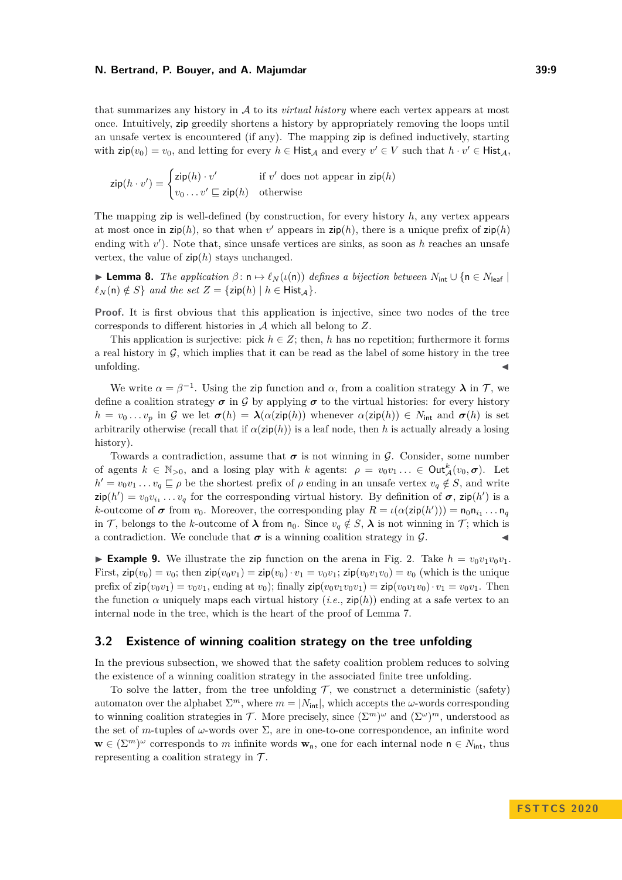that summarizes any history in A to its *virtual history* where each vertex appears at most once. Intuitively, zip greedily shortens a history by appropriately removing the loops until an unsafe vertex is encountered (if any). The mapping zip is defined inductively, starting with  $\mathsf{zip}(v_0) = v_0$ , and letting for every  $h \in \mathsf{Hist}_{\mathcal{A}}$  and every  $v' \in V$  such that  $h \cdot v' \in \mathsf{Hist}_{\mathcal{A}}$ ,

$$
\mathsf{zip}(h \cdot v') = \begin{cases} \mathsf{zip}(h) \cdot v' & \text{if } v' \text{ does not appear in } \mathsf{zip}(h) \\ v_0 \dots v' \sqsubseteq \mathsf{zip}(h) & \text{otherwise} \end{cases}
$$

The mapping zip is well-defined (by construction, for every history *h*, any vertex appears at most once in  $\mathsf{zip}(h)$ , so that when  $v'$  appears in  $\mathsf{zip}(h)$ , there is a unique prefix of  $\mathsf{zip}(h)$ ending with *v*<sup>'</sup>). Note that, since unsafe vertices are sinks, as soon as *h* reaches an unsafe vertex, the value of  $\mathsf{zip}(h)$  stays unchanged.

 $\blacktriangleright$  **Lemma 8.** *The application*  $\beta$ : **n**  $\mapsto \ell_N(\iota(n))$  *defines a bijection between*  $N_{\text{int}} \cup \{n \in N_{\text{leaf}}\}$  $\ell_N(n) \notin S$  *and the set*  $Z = \{ \text{zip}(h) \mid h \in \text{Hist}_{\mathcal{A}} \}.$ 

**Proof.** It is first obvious that this application is injective, since two nodes of the tree corresponds to different histories in A which all belong to *Z*.

This application is surjective: pick  $h \in \mathbb{Z}$ ; then, h has no repetition; furthermore it forms a real history in  $G$ , which implies that it can be read as the label of some history in the tree  $\blacksquare$  unfolding.

We write  $\alpha = \beta^{-1}$ . Using the zip function and  $\alpha$ , from a coalition strategy  $\lambda$  in  $\mathcal{T}$ , we define a coalition strategy  $\sigma$  in G by applying  $\sigma$  to the virtual histories: for every history  $h = v_0 \ldots v_p$  in G we let  $\sigma(h) = \lambda(\alpha(\text{zip}(h))$  whenever  $\alpha(\text{zip}(h)) \in N_{\text{int}}$  and  $\sigma(h)$  is set arbitrarily otherwise (recall that if  $\alpha(\text{zip}(h))$ ) is a leaf node, then *h* is actually already a losing history).

Towards a contradiction, assume that  $\sigma$  is not winning in  $\mathcal G$ . Consider, some number of agents  $k \in \mathbb{N}_{>0}$ , and a losing play with *k* agents:  $\rho = v_0v_1 \ldots \in \text{Out}_{\mathcal{A}}^k(v_0, \sigma)$ . Let  $h' = v_0v_1 \ldots v_q \sqsubseteq \rho$  be the shortest prefix of  $\rho$  ending in an unsafe vertex  $v_q \notin S$ , and write  $\exp(h') = v_0 v_{i_1} \dots v_q$  for the corresponding virtual history. By definition of  $\sigma$ ,  $\exp(h')$  is a *k*-outcome of  $\sigma$  from  $v_0$ . Moreover, the corresponding play  $R = \iota(\alpha(\text{zip}(h'))) = \mathsf{n}_0 \mathsf{n}_{i_1} \dots \mathsf{n}_q$ in T, belongs to the *k*-outcome of  $\lambda$  from  $n_0$ . Since  $v_q \notin S$ ,  $\lambda$  is not winning in T; which is a contradiction. We conclude that  $\sigma$  is a winning coalition strategy in  $\mathcal{G}$ .

**Example 9.** We illustrate the zip function on the arena in Fig. [2.](#page-3-0) Take  $h = v_0v_1v_0v_1$ . First,  $\sin(v_0) = v_0$ ; then  $\sin(v_0v_1) = \sin(v_0) \cdot v_1 = v_0v_1$ ;  $\sin(v_0v_1v_0) = v_0$  (which is the unique prefix of  $\mathsf{zip}(v_0v_1) = v_0v_1$ , ending at  $v_0$ ); finally  $\mathsf{zip}(v_0v_1v_0v_1) = \mathsf{zip}(v_0v_1v_0) \cdot v_1 = v_0v_1$ . Then the function  $\alpha$  uniquely maps each virtual history  $(i.e., zip(h))$  ending at a safe vertex to an internal node in the tree, which is the heart of the proof of Lemma [7.](#page-7-0)

# <span id="page-8-0"></span>**3.2 Existence of winning coalition strategy on the tree unfolding**

In the previous subsection, we showed that the safety coalition problem reduces to solving the existence of a winning coalition strategy in the associated finite tree unfolding.

To solve the latter, from the tree unfolding  $\mathcal{T}$ , we construct a deterministic (safety) automaton over the alphabet  $\Sigma^m$ , where  $m = |N_{\text{int}}|$ , which accepts the *ω*-words corresponding to winning coalition strategies in T. More precisely, since  $(\Sigma^m)^\omega$  and  $(\Sigma^\omega)^m$ , understood as the set of *m*-tuples of  $\omega$ -words over  $\Sigma$ , are in one-to-one correspondence, an infinite word  $\mathbf{w} \in (\Sigma^m)^\omega$  corresponds to *m* infinite words  $\mathbf{w}_n$ , one for each internal node  $n \in N_{\text{int}}$ , thus representing a coalition strategy in  $\mathcal{T}$ .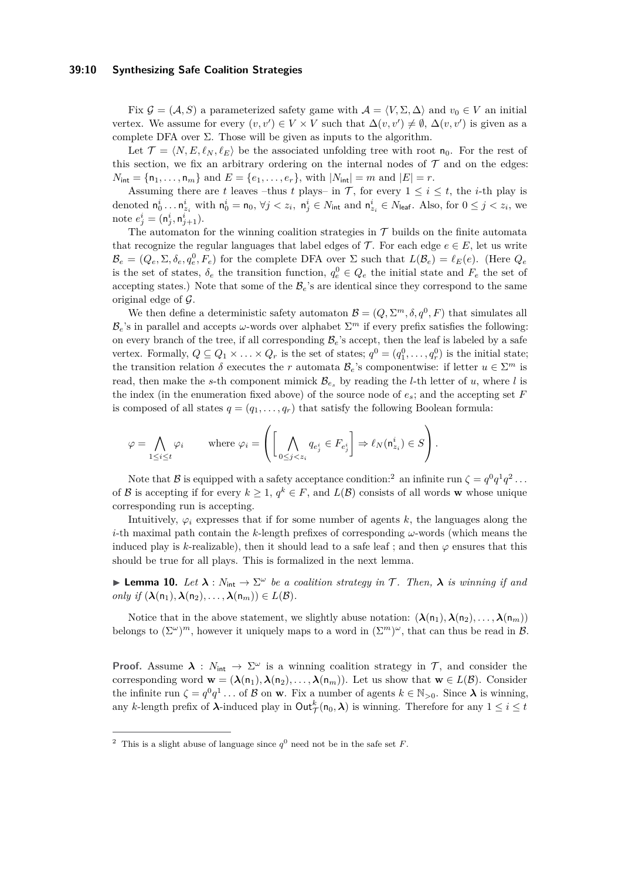#### **39:10 Synthesizing Safe Coalition Strategies**

Fix  $G = (A, S)$  a parameterized safety game with  $A = \langle V, \Sigma, \Delta \rangle$  and  $v_0 \in V$  an initial vertex. We assume for every  $(v, v') \in V \times V$  such that  $\Delta(v, v') \neq \emptyset$ ,  $\Delta(v, v')$  is given as a complete DFA over  $\Sigma$ . Those will be given as inputs to the algorithm.

Let  $\mathcal{T} = \langle N, E, \ell_N, \ell_E \rangle$  be the associated unfolding tree with root  $n_0$ . For the rest of this section, we fix an arbitrary ordering on the internal nodes of  $\mathcal T$  and on the edges:  $N_{\text{int}} = \{n_1, \ldots, n_m\}$  and  $E = \{e_1, \ldots, e_r\}$ , with  $|N_{\text{int}}| = m$  and  $|E| = r$ .

Assuming there are *t* leaves –thus *t* plays– in  $\mathcal{T}$ , for every  $1 \leq i \leq t$ , the *i*-th play is denoted  $n_0^i \dots n_{z_i}^i$  with  $n_0^i = n_0$ ,  $\forall j < z_i$ ,  $n_j^i \in N_{\text{int}}$  and  $n_{z_i}^i \in N_{\text{leaf}}$ . Also, for  $0 \le j < z_i$ , we note  $e^i_j = (\mathsf{n}^i_j, \mathsf{n}^i_{j+1}).$ 

The automaton for the winning coalition strategies in  $\mathcal T$  builds on the finite automata that recognize the regular languages that label edges of  $\mathcal{T}$ . For each edge  $e \in E$ , let us write  $\mathcal{B}_e = (Q_e, \Sigma, \delta_e, q_e^0, F_e)$  for the complete DFA over  $\Sigma$  such that  $L(\mathcal{B}_e) = \ell_E(e)$ . (Here  $Q_e$ is the set of states,  $\delta_e$  the transition function,  $q_e^0 \in Q_e$  the initial state and  $F_e$  the set of accepting states.) Note that some of the  $\mathcal{B}_e$ 's are identical since they correspond to the same original edge of  $\mathcal{G}$ .

We then define a deterministic safety automaton  $\mathcal{B} = (Q, \Sigma^m, \delta, q^0, F)$  that simulates all  $\mathcal{B}_e$ 's in parallel and accepts *ω*-words over alphabet  $\Sigma^m$  if every prefix satisfies the following: on every branch of the tree, if all corresponding  $B_e$ 's accept, then the leaf is labeled by a safe vertex. Formally,  $Q \subseteq Q_1 \times \ldots \times Q_r$  is the set of states;  $q^0 = (q_1^0, \ldots, q_r^0)$  is the initial state; the transition relation  $\delta$  executes the *r* automata  $\mathcal{B}_e$ 's componentwise: if letter  $u \in \Sigma^m$  is read, then make the *s*-th component mimick  $B_{e_s}$  by reading the *l*-th letter of *u*, where *l* is the index (in the enumeration fixed above) of the source node of *es*; and the accepting set *F* is composed of all states  $q = (q_1, \ldots, q_r)$  that satisfy the following Boolean formula:

$$
\varphi = \bigwedge_{1 \leq i \leq t} \varphi_i \qquad \text{where } \varphi_i = \left( \left[ \bigwedge_{0 \leq j < z_i} q_{e_j^i} \in F_{e_j^i} \right] \Rightarrow \ell_N(\mathsf{n}_{z_i}^i) \in S \right).
$$

Note that  $\mathcal{B}$  is equipped with a safety acceptance condition:<sup>[2](#page-9-0)</sup> an infinite run  $\zeta = q^0 q^1 q^2 \dots$ of B is accepting if for every  $k \geq 1$ ,  $q^k \in F$ , and  $L(\mathcal{B})$  consists of all words **w** whose unique corresponding run is accepting.

Intuitively,  $\varphi_i$  expresses that if for some number of agents  $k$ , the languages along the *i*-th maximal path contain the *k*-length prefixes of corresponding *ω*-words (which means the induced play is *k*-realizable), then it should lead to a safe leaf; and then  $\varphi$  ensures that this should be true for all plays. This is formalized in the next lemma.

**I Lemma 10.** Let  $\lambda : N_{\text{int}} \to \Sigma^\omega$  be a coalition strategy in T. Then,  $\lambda$  is winning if and  $only if$   $(\lambda(n_1), \lambda(n_2), \ldots, \lambda(n_m)) \in L(\mathcal{B})$ .

Notice that in the above statement, we slightly abuse notation:  $(\lambda(n_1), \lambda(n_2), \ldots, \lambda(n_m))$ belongs to  $(\Sigma^{\omega})^m$ , however it uniquely maps to a word in  $(\Sigma^m)^{\omega}$ , that can thus be read in  $\mathcal{B}$ .

**Proof.** Assume  $\lambda$  :  $N_{\text{int}} \to \Sigma^{\omega}$  is a winning coalition strategy in  $\mathcal{T}$ , and consider the corresponding word  $\mathbf{w} = (\lambda(n_1), \lambda(n_2), \dots, \lambda(n_m))$ . Let us show that  $\mathbf{w} \in L(\mathcal{B})$ . Consider the infinite run  $\zeta = q^0 q^1 \dots$  of B on **w**. Fix a number of agents  $k \in \mathbb{N}_{>0}$ . Since  $\lambda$  is winning, any *k*-length prefix of  $\lambda$ -induced play in  $Out^k_{\mathcal{T}}(n_0, \lambda)$  is winning. Therefore for any  $1 \leq i \leq t$ 

<span id="page-9-0"></span><sup>&</sup>lt;sup>2</sup> This is a slight abuse of language since  $q^0$  need not be in the safe set *F*.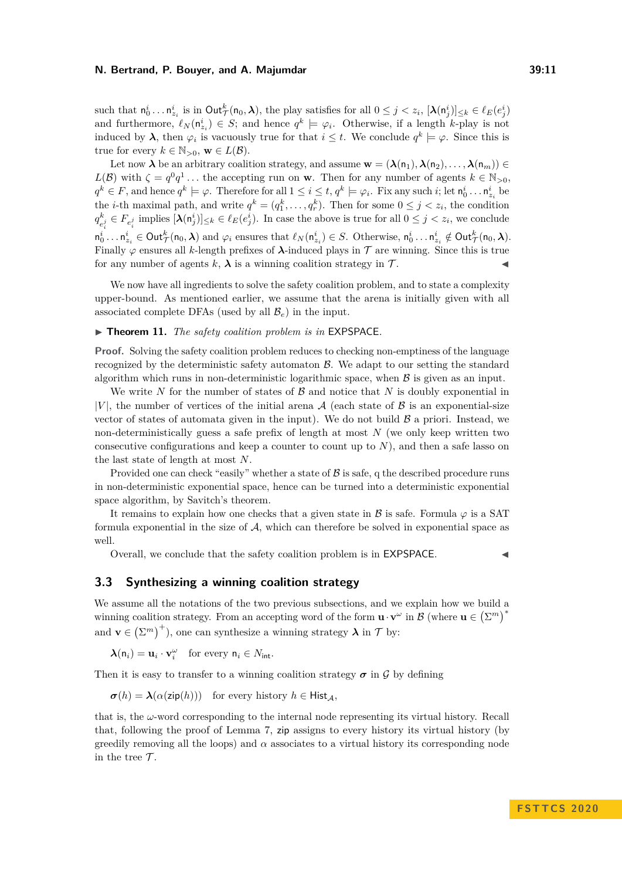such that  $n_0^i \dots n_{z_i}^i$  is in  $\text{Out}^k_{\mathcal{T}}(\mathsf{n}_0, \lambda)$ , the play satisfies for all  $0 \leq j < z_i$ ,  $[\lambda(\mathsf{n}_j^i)]_{\leq k} \in \ell_E(e_j^i)$ and furthermore,  $\ell_N(\mathsf{n}_{z_i}^i) \in S$ ; and hence  $q^k \models \varphi_i$ . Otherwise, if a length *k*-play is not induced by  $\lambda$ , then  $\varphi_i$  is vacuously true for that  $i \leq t$ . We conclude  $q^k \models \varphi$ . Since this is true for every  $k \in \mathbb{N}_{>0}$ ,  $\mathbf{w} \in L(\mathcal{B})$ .

Let now  $\lambda$  be an arbitrary coalition strategy, and assume  $\mathbf{w} = (\lambda(n_1), \lambda(n_2), \ldots, \lambda(n_m)) \in$ *L*(B) with  $\zeta = q^0 q^1 \dots$  the accepting run on **w**. Then for any number of agents  $k \in \mathbb{N}_{>0}$ ,  $q^k \in F$ , and hence  $q^k \models \varphi$ . Therefore for all  $1 \leq i \leq t$ ,  $q^k \models \varphi_i$ . Fix any such  $i$ ; let  $\mathsf{n}_0^i \dots \mathsf{n}_{z_i}^i$  be the *i*-th maximal path, and write  $q^k = (q_1^k, \ldots, q_r^k)$ . Then for some  $0 \leq j \leq z_i$ , the condition  $q^k$  $\mathcal{L}^{k}_{e_i^j} \in F_{e_i^j}$  implies  $[\lambda(\mathsf{n}_j^i)]_{\leq k} \in \ell_E(e_j^i)$ . In case the above is true for all  $0 \leq j < z_i$ , we conclude  $n_0^i \ldots n_{z_i}^i \in \text{Out}_{\mathcal{T}}^k(\mathsf{n}_0, \lambda)$  and  $\varphi_i$  ensures that  $\ell_N(\mathsf{n}_{z_i}^i) \in S$ . Otherwise,  $\mathsf{n}_0^i \ldots \mathsf{n}_{z_i}^i \notin \text{Out}_{\mathcal{T}}^k(\mathsf{n}_0, \lambda)$ . Finally  $\varphi$  ensures all *k*-length prefixes of  $\lambda$ -induced plays in  $\tau$  are winning. Since this is true for any number of agents  $k, \lambda$  is a winning coalition strategy in  $\mathcal T$ .

We now have all ingredients to solve the safety coalition problem, and to state a complexity upper-bound. As mentioned earlier, we assume that the arena is initially given with all associated complete DFAs (used by all  $\mathcal{B}_e$ ) in the input.

## ▶ **Theorem 11.** *The safety coalition problem is in* EXPSPACE.

**Proof.** Solving the safety coalition problem reduces to checking non-emptiness of the language recognized by the deterministic safety automaton  $\beta$ . We adapt to our setting the standard algorithm which runs in non-deterministic logarithmic space, when  $\beta$  is given as an input.

We write  $N$  for the number of states of  $\beta$  and notice that  $N$  is doubly exponential in  $|V|$ , the number of vertices of the initial arena A (each state of B is an exponential-size vector of states of automata given in the input). We do not build  $\beta$  a priori. Instead, we non-deterministically guess a safe prefix of length at most *N* (we only keep written two consecutive configurations and keep a counter to count up to *N*), and then a safe lasso on the last state of length at most *N*.

Provided one can check "easily" whether a state of  $\beta$  is safe, q the described procedure runs in non-deterministic exponential space, hence can be turned into a deterministic exponential space algorithm, by Savitch's theorem.

It remains to explain how one checks that a given state in  $\beta$  is safe. Formula  $\varphi$  is a SAT formula exponential in the size of  $A$ , which can therefore be solved in exponential space as well.

Overall, we conclude that the safety coalition problem is in EXPSPACE. J

# <span id="page-10-0"></span>**3.3 Synthesizing a winning coalition strategy**

We assume all the notations of the two previous subsections, and we explain how we build a winning coalition strategy. From an accepting word of the form  $\mathbf{u} \cdot \mathbf{v}^{\omega}$  in  $\mathcal{B}$  (where  $\mathbf{u} \in (\Sigma^m)^*$ and  $\mathbf{v} \in (\Sigma^m)^+$ , one can synthesize a winning strategy  $\lambda$  in  $\mathcal{T}$  by:

 $\lambda(\mathsf{n}_i) = \mathbf{u}_i \cdot \mathbf{v}_i^{\omega}$  for every  $\mathsf{n}_i \in N_{\text{int}}$ .

Then it is easy to transfer to a winning coalition strategy  $\sigma$  in G by defining

 $\sigma(h) = \lambda(\alpha(\text{zip}(h)))$  for every history  $h \in \text{Hist}_{\mathcal{A}}$ ,

that is, the *ω*-word corresponding to the internal node representing its virtual history. Recall that, following the proof of Lemma [7,](#page-7-0) zip assigns to every history its virtual history (by greedily removing all the loops) and  $\alpha$  associates to a virtual history its corresponding node in the tree  $\mathcal{T}$ .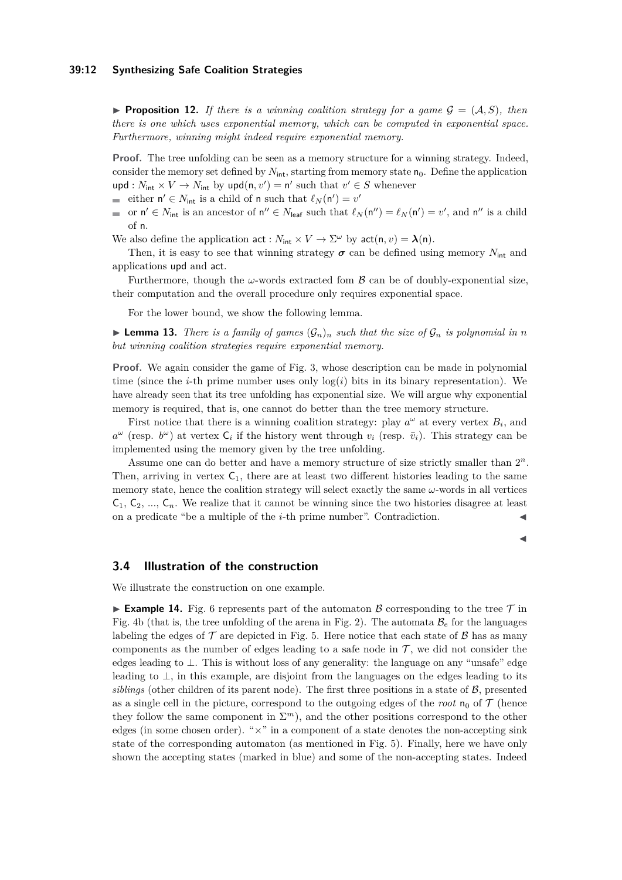#### **39:12 Synthesizing Safe Coalition Strategies**

**Proposition 12.** If there is a winning coalition strategy for a game  $G = (A, S)$ , then *there is one which uses exponential memory, which can be computed in exponential space. Furthermore, winning might indeed require exponential memory.*

**Proof.** The tree unfolding can be seen as a memory structure for a winning strategy. Indeed, consider the memory set defined by  $N_{\text{int}}$ , starting from memory state  $n_0$ . Define the application  $\text{upd}: N_{\text{int}} \times V \to N_{\text{int}}$  by  $\text{upd}(n, v') = n'$  such that  $v' \in S$  whenever

- either  $n' \in N_{\text{int}}$  is a child of n such that  $\ell_N(n') = v'$
- or  $n' \in N_{\text{int}}$  is an ancestor of  $n'' \in N_{\text{leaf}}$  such that  $\ell_N(n'') = \ell_N(n') = v'$ , and  $n''$  is a child  $\blacksquare$ of n.
- We also define the application  $\text{act}: N_{\text{int}} \times V \to \Sigma^{\omega}$  by  $\text{act}(n, v) = \lambda(n)$ .

Then, it is easy to see that winning strategy  $\sigma$  can be defined using memory  $N_{\text{int}}$  and applications upd and act.

Furthermore, though the  $\omega$ -words extracted fom  $\beta$  can be of doubly-exponential size, their computation and the overall procedure only requires exponential space.

For the lower bound, we show the following lemma.

**Example 13.** There is a family of games  $(G_n)_n$  such that the size of  $G_n$  is polynomial in n *but winning coalition strategies require exponential memory.*

**Proof.** We again consider the game of Fig. [3,](#page-6-0) whose description can be made in polynomial time (since the *i*-th prime number uses only  $log(i)$  bits in its binary representation). We have already seen that its tree unfolding has exponential size. We will argue why exponential memory is required, that is, one cannot do better than the tree memory structure.

First notice that there is a winning coalition strategy: play  $a^{\omega}$  at every vertex  $B_i$ , and  $a^{\omega}$  (resp.  $b^{\omega}$ ) at vertex  $C_i$  if the history went through  $v_i$  (resp.  $\bar{v}_i$ ). This strategy can be implemented using the memory given by the tree unfolding.

Assume one can do better and have a memory structure of size strictly smaller than 2 *n*. Then, arriving in vertex  $C_1$ , there are at least two different histories leading to the same memory state, hence the coalition strategy will select exactly the same *ω*-words in all vertices  $C_1, C_2, ..., C_n$ . We realize that it cannot be winning since the two histories disagree at least on a predicate "be a multiple of the *i*-th prime number". Contradiction. J

J

# <span id="page-11-0"></span>**3.4 Illustration of the construction**

We illustrate the construction on one example.

<span id="page-11-1"></span>**Example 14.** Fig. [6](#page-12-1) represents part of the automaton B corresponding to the tree  $\mathcal{T}$  in Fig. [4b](#page-6-1) (that is, the tree unfolding of the arena in Fig. [2\)](#page-3-0). The automata  $B<sub>e</sub>$  for the languages labeling the edges of  $\mathcal T$  are depicted in Fig. [5.](#page-12-1) Here notice that each state of  $\mathcal B$  has as many components as the number of edges leading to a safe node in  $\mathcal{T}$ , we did not consider the edges leading to ⊥. This is without loss of any generality: the language on any "unsafe" edge leading to  $\perp$ , in this example, are disjoint from the languages on the edges leading to its *siblings* (other children of its parent node). The first three positions in a state of  $B$ , presented as a single cell in the picture, correspond to the outgoing edges of the *root*  $n_0$  of  $\mathcal T$  (hence they follow the same component in  $\Sigma^m$ ), and the other positions correspond to the other edges (in some chosen order). "×" in a component of a state denotes the non-accepting sink state of the corresponding automaton (as mentioned in Fig. [5\)](#page-12-1). Finally, here we have only shown the accepting states (marked in blue) and some of the non-accepting states. Indeed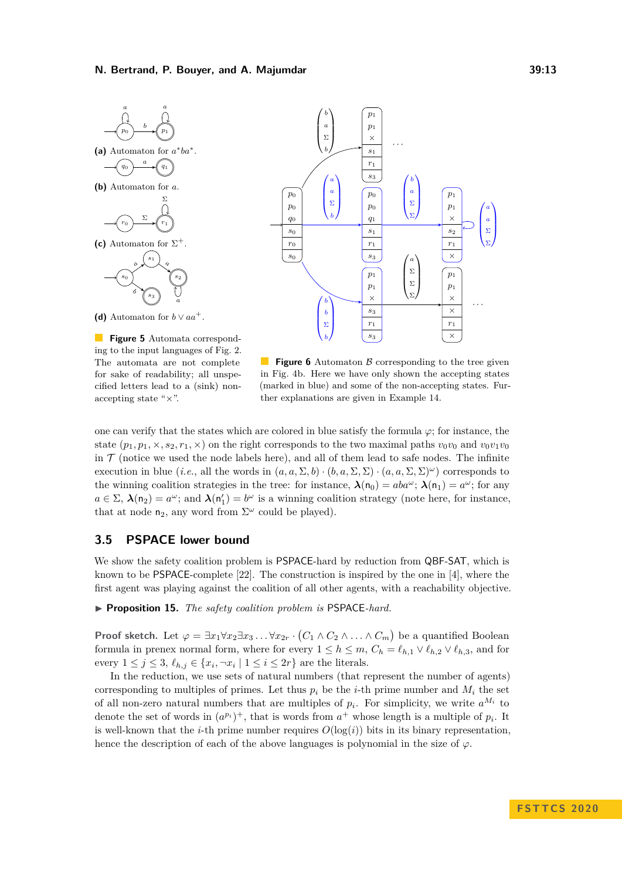<span id="page-12-1"></span>



**Figure 5** Automata corresponding to the input languages of Fig. [2.](#page-3-0) The automata are not complete for sake of readability; all unspecified letters lead to a (sink) nonaccepting state "×".

**Figure 6** Automaton  $\beta$  corresponding to the tree given in Fig. [4b.](#page-6-1) Here we have only shown the accepting states (marked in blue) and some of the non-accepting states. Further explanations are given in Example [14.](#page-11-1)

one can verify that the states which are colored in blue satisfy the formula *ϕ*; for instance, the state  $(p_1, p_1, \times, s_2, r_1, \times)$  on the right corresponds to the two maximal paths  $v_0v_0$  and  $v_0v_1v_0$ in  $\mathcal T$  (notice we used the node labels here), and all of them lead to safe nodes. The infinite execution in blue (*i.e.*, all the words in  $(a, a, \Sigma, b) \cdot (b, a, \Sigma, \Sigma) \cdot (a, a, \Sigma, \Sigma) \omega$ ) corresponds to the winning coalition strategies in the tree: for instance,  $\lambda(n_0) = aba^{\omega}$ ;  $\lambda(n_1) = a^{\omega}$ ; for any  $a \in \Sigma$ ,  $\lambda(\mathsf{n}_2) = a^{\omega}$ ; and  $\lambda(\mathsf{n}'_1) = b^{\omega}$  is a winning coalition strategy (note here, for instance, that at node  $n_2$ , any word from  $\Sigma^{\omega}$  could be played).

# <span id="page-12-0"></span>**3.5 PSPACE lower bound**

We show the safety coalition problem is PSPACE-hard by reduction from QBF-SAT, which is known to be PSPACE-complete [\[22\]](#page-16-7). The construction is inspired by the one in [\[4\]](#page-15-13), where the first agent was playing against the coalition of all other agents, with a reachability objective.

▶ **Proposition 15.** *The safety coalition problem is* PSPACE-hard.

**Proof sketch.** Let  $\varphi = \exists x_1 \forall x_2 \exists x_3 \dots \forall x_{2r} \cdot (C_1 \wedge C_2 \wedge \dots \wedge C_m)$  be a quantified Boolean formula in prenex normal form, where for every  $1 \leq h \leq m$ ,  $C_h = \ell_{h,1} \vee \ell_{h,2} \vee \ell_{h,3}$ , and for every  $1 \leq j \leq 3$ ,  $\ell_{h,j} \in \{x_i, \neg x_i \mid 1 \leq i \leq 2r\}$  are the literals.

In the reduction, we use sets of natural numbers (that represent the number of agents) corresponding to multiples of primes. Let thus  $p_i$  be the *i*-th prime number and  $M_i$  the set of all non-zero natural numbers that are multiples of  $p_i$ . For simplicity, we write  $a^{M_i}$  to denote the set of words in  $(a^{p_i})^+$ , that is words from  $a^+$  whose length is a multiple of  $p_i$ . It is well-known that the *i*-th prime number requires  $O(\log(i))$  bits in its binary representation. hence the description of each of the above languages is polynomial in the size of  $\varphi$ .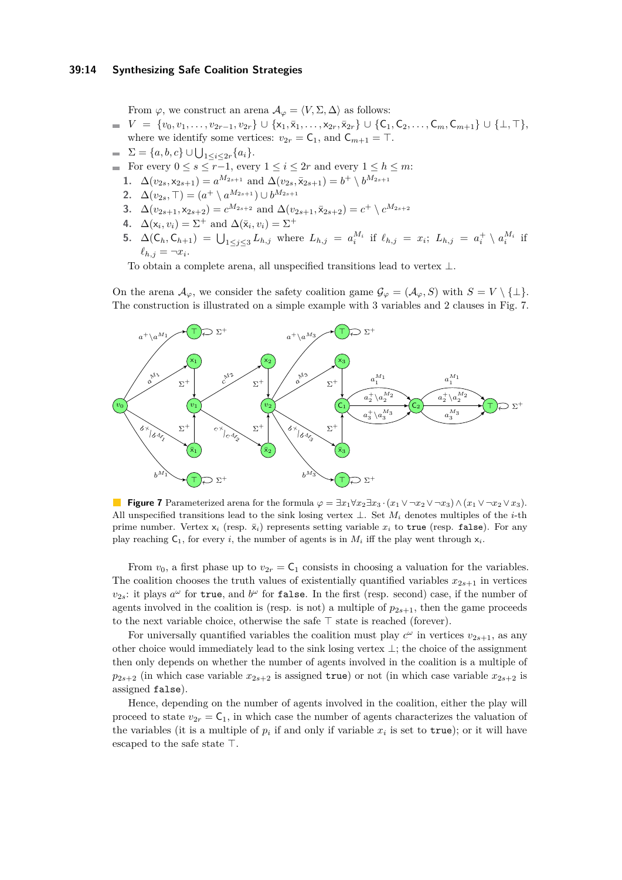## **39:14 Synthesizing Safe Coalition Strategies**

From  $\varphi$ , we construct an arena  $\mathcal{A}_{\varphi} = \langle V, \Sigma, \Delta \rangle$  as follows:

- $V = \{v_0, v_1, \ldots, v_{2r-1}, v_{2r}\} \cup \{x_1, \bar{x}_1, \ldots, x_{2r}, \bar{x}_{2r}\} \cup \{C_1, C_2, \ldots, C_m, C_{m+1}\} \cup \{\perp, \top\},$ where we identify some vertices:  $v_{2r} = C_1$ , and  $C_{m+1} = T$ .
- $\Sigma = \{a, b, c\} \cup \bigcup_{1 \leq i \leq 2r} \{a_i\}.$
- For every  $0 \le s \le r-1$ , every  $1 \le i \le 2r$  and every  $1 \le h \le m$ :
	- **1.**  $\Delta(v_{2s}, x_{2s+1}) = a^{M_{2s+1}}$  and  $\Delta(v_{2s}, \bar{x}_{2s+1}) = b^+ \setminus b^{M_{2s+1}}$
	- **2.**  $\Delta(v_{2s}, \top) = (a^+ \setminus a^{M_{2s+1}}) \cup b^{M_{2s+1}}$
	- 3. △( $v_{2s+1}$ , ×<sub>2*s*+2</sub>) =  $c^{M_{2s+2}}$  and △( $v_{2s+1}$ ,  $\bar{x}_{2s+2}$ ) =  $c^+ \setminus c^{M_{2s+2}}$
	- **4.**  $\Delta(\mathsf{x}_i, v_i) = \Sigma^+$  and  $\Delta(\bar{\mathsf{x}}_i, v_i) = \Sigma^+$
	- **5.**  $\Delta(C_h, C_{h+1}) = \bigcup_{1 \leq j \leq 3} L_{h,j}$  where  $L_{h,j} = a_i^{M_i}$  if  $\ell_{h,j} = x_i$ ;  $L_{h,j} = a_i^+ \setminus a_i^{M_i}$  if  $\ell_{h,j} = \neg x_i$ .

To obtain a complete arena, all unspecified transitions lead to vertex  $\bot$ .

On the arena  $\mathcal{A}_{\varphi}$ , we consider the safety coalition game  $\mathcal{G}_{\varphi} = (\mathcal{A}_{\varphi}, S)$  with  $S = V \setminus \{\perp\}.$ The construction is illustrated on a simple example with 3 variables and 2 clauses in Fig. [7.](#page-13-0)

<span id="page-13-0"></span>

**Figure 7** Parameterized arena for the formula  $\varphi = \exists x_1 \forall x_2 \exists x_3 \cdot (x_1 \vee \neg x_2 \vee \neg x_3) \wedge (x_1 \vee \neg x_2 \vee x_3).$ All unspecified transitions lead to the sink losing vertex ⊥. Set *M<sup>i</sup>* denotes multiples of the *i*-th prime number. Vertex  $x_i$  (resp.  $\bar{x}_i$ ) represents setting variable  $x_i$  to true (resp. false). For any play reaching  $C_1$ , for every *i*, the number of agents is in  $M_i$  iff the play went through  $x_i$ .

From  $v_0$ , a first phase up to  $v_{2r} = C_1$  consists in choosing a valuation for the variables. The coalition chooses the truth values of existentially quantified variables  $x_{2s+1}$  in vertices  $v_{2s}$ : it plays  $a^{\omega}$  for true, and  $b^{\omega}$  for false. In the first (resp. second) case, if the number of agents involved in the coalition is (resp. is not) a multiple of  $p_{2s+1}$ , then the game proceeds to the next variable choice, otherwise the safe  $\top$  state is reached (forever).

For universally quantified variables the coalition must play  $c^{\omega}$  in vertices  $v_{2s+1}$ , as any other choice would immediately lead to the sink losing vertex ⊥; the choice of the assignment then only depends on whether the number of agents involved in the coalition is a multiple of  $p_{2s+2}$  (in which case variable  $x_{2s+2}$  is assigned true) or not (in which case variable  $x_{2s+2}$  is assigned false).

Hence, depending on the number of agents involved in the coalition, either the play will proceed to state  $v_{2r} = \mathsf{C}_1$ , in which case the number of agents characterizes the valuation of the variables (it is a multiple of  $p_i$  if and only if variable  $x_i$  is set to  $true$ ); or it will have escaped to the safe state  $\top$ .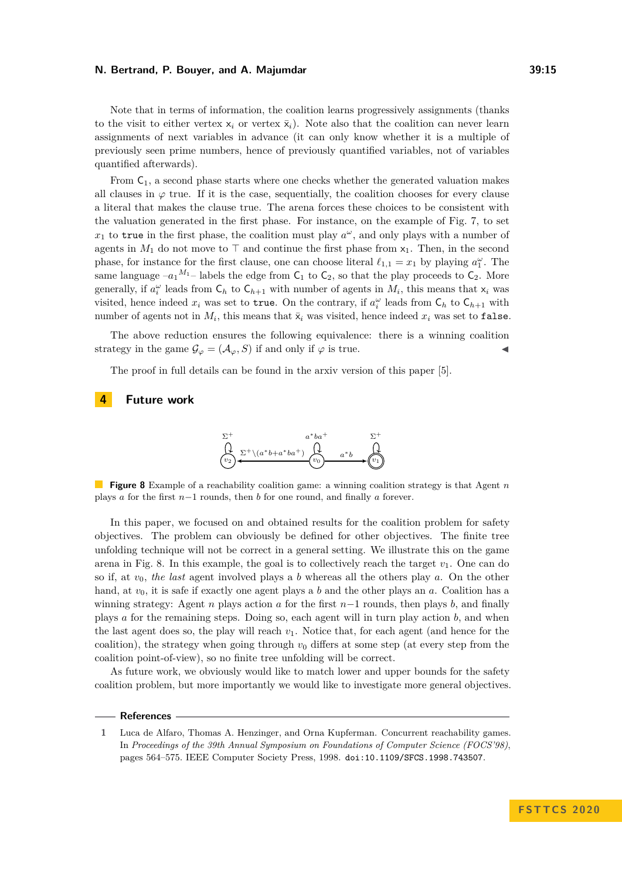Note that in terms of information, the coalition learns progressively assignments (thanks to the visit to either vertex  $x_i$  or vertex  $\bar{x}_i$ ). Note also that the coalition can never learn assignments of next variables in advance (it can only know whether it is a multiple of previously seen prime numbers, hence of previously quantified variables, not of variables quantified afterwards).

From  $C_1$ , a second phase starts where one checks whether the generated valuation makes all clauses in  $\varphi$  true. If it is the case, sequentially, the coalition chooses for every clause a literal that makes the clause true. The arena forces these choices to be consistent with the valuation generated in the first phase. For instance, on the example of Fig. [7,](#page-13-0) to set  $x_1$  to true in the first phase, the coalition must play  $a^{\omega}$ , and only plays with a number of agents in  $M_1$  do not move to  $\top$  and continue the first phase from  $x_1$ . Then, in the second phase, for instance for the first clause, one can choose literal  $\ell_{1,1} = x_1$  by playing  $a_1^\omega$ . The same language  $-a_1^{M_1}$ – labels the edge from  $C_1$  to  $C_2$ , so that the play proceeds to  $C_2$ . More generally, if  $a_i^{\omega}$  leads from  $\mathsf{C}_h$  to  $\mathsf{C}_{h+1}$  with number of agents in  $M_i$ , this means that  $\mathsf{x}_i$  was visited, hence indeed  $x_i$  was set to true. On the contrary, if  $a_i^{\omega}$  leads from  $\mathsf{C}_h$  to  $\mathsf{C}_{h+1}$  with number of agents not in  $M_i$ , this means that  $\bar{x}_i$  was visited, hence indeed  $x_i$  was set to false.

The above reduction ensures the following equivalence: there is a winning coalition strategy in the game  $\mathcal{G}_{\varphi} = (\mathcal{A}_{\varphi}, S)$  if and only if  $\varphi$  is true.

The proof in full details can be found in the arxiv version of this paper [\[5\]](#page-15-14).

# <span id="page-14-1"></span>**4 Future work**



**Figure 8** Example of a reachability coalition game: a winning coalition strategy is that Agent *n* plays *a* for the first *n*−1 rounds, then *b* for one round, and finally *a* forever.

In this paper, we focused on and obtained results for the coalition problem for safety objectives. The problem can obviously be defined for other objectives. The finite tree unfolding technique will not be correct in a general setting. We illustrate this on the game arena in Fig. [8.](#page-14-1) In this example, the goal is to collectively reach the target  $v_1$ . One can do so if, at *v*0, *the last* agent involved plays a *b* whereas all the others play *a*. On the other hand, at *v*0, it is safe if exactly one agent plays a *b* and the other plays an *a*. Coalition has a winning strategy: Agent *n* plays action *a* for the first *n*−1 rounds, then plays *b*, and finally plays *a* for the remaining steps. Doing so, each agent will in turn play action *b*, and when the last agent does so, the play will reach  $v_1$ . Notice that, for each agent (and hence for the coalition), the strategy when going through  $v_0$  differs at some step (at every step from the coalition point-of-view), so no finite tree unfolding will be correct.

As future work, we obviously would like to match lower and upper bounds for the safety coalition problem, but more importantly we would like to investigate more general objectives.

# **References**

<span id="page-14-0"></span>**<sup>1</sup>** Luca de Alfaro, Thomas A. Henzinger, and Orna Kupferman. Concurrent reachability games. In *Proceedings of the 39th Annual Symposium on Foundations of Computer Science (FOCS'98)*, pages 564–575. IEEE Computer Society Press, 1998. [doi:10.1109/SFCS.1998.743507](https://doi.org/10.1109/SFCS.1998.743507).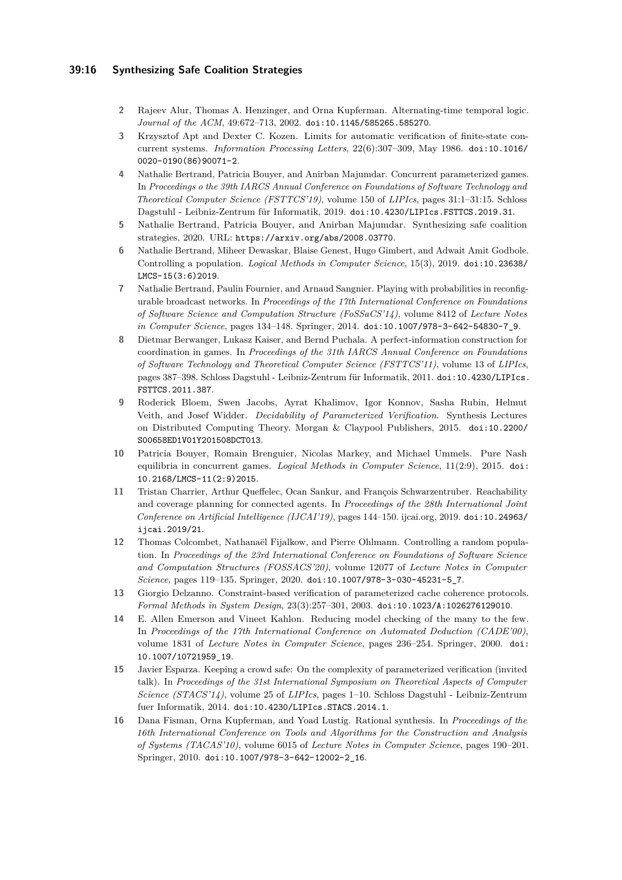# **39:16 Synthesizing Safe Coalition Strategies**

- <span id="page-15-10"></span>**2** Rajeev Alur, Thomas A. Henzinger, and Orna Kupferman. Alternating-time temporal logic. *Journal of the ACM*, 49:672–713, 2002. [doi:10.1145/585265.585270](https://doi.org/10.1145/585265.585270).
- <span id="page-15-5"></span>**3** Krzysztof Apt and Dexter C. Kozen. Limits for automatic verification of finite-state concurrent systems. *Information Processing Letters*, 22(6):307–309, May 1986. [doi:10.1016/](https://doi.org/10.1016/0020-0190(86)90071-2) [0020-0190\(86\)90071-2](https://doi.org/10.1016/0020-0190(86)90071-2).
- <span id="page-15-13"></span>**4** Nathalie Bertrand, Patricia Bouyer, and Anirban Majumdar. Concurrent parameterized games. In *Proceedings o the 39th IARCS Annual Conference on Foundations of Software Technology and Theoretical Computer Science (FSTTCS'19)*, volume 150 of *LIPIcs*, pages 31:1–31:15. Schloss Dagstuhl - Leibniz-Zentrum für Informatik, 2019. [doi:10.4230/LIPIcs.FSTTCS.2019.31](https://doi.org/10.4230/LIPIcs.FSTTCS.2019.31).
- <span id="page-15-14"></span>**5** Nathalie Bertrand, Patricia Bouyer, and Anirban Majumdar. Synthesizing safe coalition strategies, 2020. URL: <https://arxiv.org/abs/2008.03770>.
- <span id="page-15-7"></span>**6** Nathalie Bertrand, Miheer Dewaskar, Blaise Genest, Hugo Gimbert, and Adwait Amit Godbole. Controlling a population. *Logical Methods in Computer Science*, 15(3), 2019. [doi:10.23638/](https://doi.org/10.23638/LMCS-15(3:6)2019) [LMCS-15\(3:6\)2019](https://doi.org/10.23638/LMCS-15(3:6)2019).
- <span id="page-15-6"></span>**7** Nathalie Bertrand, Paulin Fournier, and Arnaud Sangnier. Playing with probabilities in reconfigurable broadcast networks. In *Proceedings of the 17th International Conference on Foundations of Software Science and Computation Structure (FoSSaCS'14)*, volume 8412 of *Lecture Notes in Computer Science*, pages 134–148. Springer, 2014. [doi:10.1007/978-3-642-54830-7\\_9](https://doi.org/10.1007/978-3-642-54830-7_9).
- <span id="page-15-9"></span>**8** Dietmar Berwanger, Lukasz Kaiser, and Bernd Puchala. A perfect-information construction for coordination in games. In *Proceedings of the 31th IARCS Annual Conference on Foundations of Software Technology and Theoretical Computer Science (FSTTCS'11)*, volume 13 of *LIPIcs*, pages 387–398. Schloss Dagstuhl - Leibniz-Zentrum für Informatik, 2011. [doi:10.4230/LIPIcs.](https://doi.org/10.4230/LIPIcs.FSTTCS.2011.387) [FSTTCS.2011.387](https://doi.org/10.4230/LIPIcs.FSTTCS.2011.387).
- <span id="page-15-2"></span>**9** Roderick Bloem, Swen Jacobs, Ayrat Khalimov, Igor Konnov, Sasha Rubin, Helmut Veith, and Josef Widder. *Decidability of Parameterized Verification*. Synthesis Lectures on Distributed Computing Theory. Morgan & Claypool Publishers, 2015. [doi:10.2200/](https://doi.org/10.2200/S00658ED1V01Y201508DCT013) [S00658ED1V01Y201508DCT013](https://doi.org/10.2200/S00658ED1V01Y201508DCT013).
- <span id="page-15-12"></span>**10** Patricia Bouyer, Romain Brenguier, Nicolas Markey, and Michael Ummels. Pure Nash equilibria in concurrent games. *Logical Methods in Computer Science*, 11(2:9), 2015. [doi:](https://doi.org/10.2168/LMCS-11(2:9)2015) [10.2168/LMCS-11\(2:9\)2015](https://doi.org/10.2168/LMCS-11(2:9)2015).
- <span id="page-15-0"></span>**11** Tristan Charrier, Arthur Queffelec, Ocan Sankur, and François Schwarzentruber. Reachability and coverage planning for connected agents. In *Proceedings of the 28th International Joint Conference on Artificial Intelligence (IJCAI'19)*, pages 144–150. ijcai.org, 2019. [doi:10.24963/](https://doi.org/10.24963/ijcai.2019/21) [ijcai.2019/21](https://doi.org/10.24963/ijcai.2019/21).
- <span id="page-15-8"></span>**12** Thomas Colcombet, Nathanaël Fijalkow, and Pierre Ohlmann. Controlling a random population. In *Proceedings of the 23rd International Conference on Foundations of Software Science and Computation Structures (FOSSACS'20)*, volume 12077 of *Lecture Notes in Computer Science*, pages 119–135. Springer, 2020. [doi:10.1007/978-3-030-45231-5\\_7](https://doi.org/10.1007/978-3-030-45231-5_7).
- <span id="page-15-4"></span>**13** Giorgio Delzanno. Constraint-based verification of parameterized cache coherence protocols. *Formal Methods in System Design*, 23(3):257–301, 2003. [doi:10.1023/A:1026276129010](https://doi.org/10.1023/A:1026276129010).
- <span id="page-15-3"></span>**14** E. Allen Emerson and Vineet Kahlon. Reducing model checking of the many to the few. In *Proceedings of the 17th International Conference on Automated Deduction (CADE'00)*, volume 1831 of *Lecture Notes in Computer Science*, pages 236–254. Springer, 2000. [doi:](https://doi.org/10.1007/10721959_19) [10.1007/10721959\\_19](https://doi.org/10.1007/10721959_19).
- <span id="page-15-1"></span>**15** Javier Esparza. Keeping a crowd safe: On the complexity of parameterized verification (invited talk). In *Proceedings of the 31st International Symposium on Theoretical Aspects of Computer Science (STACS'14)*, volume 25 of *LIPIcs*, pages 1–10. Schloss Dagstuhl - Leibniz-Zentrum fuer Informatik, 2014. [doi:10.4230/LIPIcs.STACS.2014.1](https://doi.org/10.4230/LIPIcs.STACS.2014.1).
- <span id="page-15-11"></span>**16** Dana Fisman, Orna Kupferman, and Yoad Lustig. Rational synthesis. In *Proceedings of the 16th International Conference on Tools and Algorithms for the Construction and Analysis of Systems (TACAS'10)*, volume 6015 of *Lecture Notes in Computer Science*, pages 190–201. Springer, 2010. [doi:10.1007/978-3-642-12002-2\\_16](https://doi.org/10.1007/978-3-642-12002-2_16).